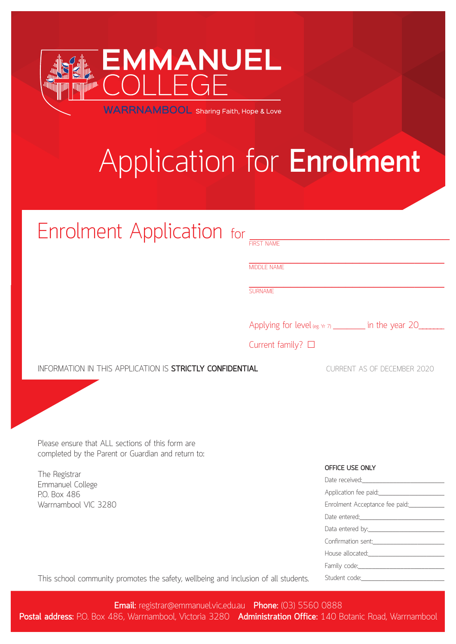

**WARRNAMBOOL** Sharing Faith, Hope & Love

# Application for **Enrolment**

| Enrolment Application for                                                                              |                           |                 |                                                                                                                                                                                                                                |
|--------------------------------------------------------------------------------------------------------|---------------------------|-----------------|--------------------------------------------------------------------------------------------------------------------------------------------------------------------------------------------------------------------------------|
|                                                                                                        | <b>MIDDLE NAME</b>        |                 |                                                                                                                                                                                                                                |
|                                                                                                        | <b>SURNAME</b>            |                 |                                                                                                                                                                                                                                |
|                                                                                                        |                           |                 | Applying for level (eg. Yr 7) _________ in the year 20______                                                                                                                                                                   |
|                                                                                                        | Current family? $\square$ |                 |                                                                                                                                                                                                                                |
| INFORMATION IN THIS APPLICATION IS STRICTLY CONFIDENTIAL                                               |                           |                 | <b>CURRENT AS OF DECEMBER 2020</b>                                                                                                                                                                                             |
|                                                                                                        |                           |                 |                                                                                                                                                                                                                                |
|                                                                                                        |                           |                 |                                                                                                                                                                                                                                |
|                                                                                                        |                           |                 |                                                                                                                                                                                                                                |
| Please ensure that ALL sections of this form are<br>completed by the Parent or Guardian and return to: |                           |                 |                                                                                                                                                                                                                                |
|                                                                                                        |                           | OFFICE USE ONLY |                                                                                                                                                                                                                                |
| The Registrar<br>Emmanuel College                                                                      |                           |                 | Date received: Note that the state of the state of the state of the state of the state of the state of the state of the state of the state of the state of the state of the state of the state of the state of the state of th |
| P.O. Box 486                                                                                           |                           |                 |                                                                                                                                                                                                                                |
| Warrnambool VIC 3280                                                                                   |                           |                 | Enrolment Acceptance fee paid:____________                                                                                                                                                                                     |
|                                                                                                        |                           |                 |                                                                                                                                                                                                                                |
|                                                                                                        |                           |                 |                                                                                                                                                                                                                                |
|                                                                                                        |                           |                 | Confirmation sent:                                                                                                                                                                                                             |
|                                                                                                        |                           |                 | House allocated: Nouse allocated:                                                                                                                                                                                              |
|                                                                                                        |                           |                 |                                                                                                                                                                                                                                |
| This school community promotes the safety, wellbeing and inclusion of all students.                    |                           |                 |                                                                                                                                                                                                                                |

APPLICATION FOR ENROLMENT : **EMMANUEL COLLEGE 01**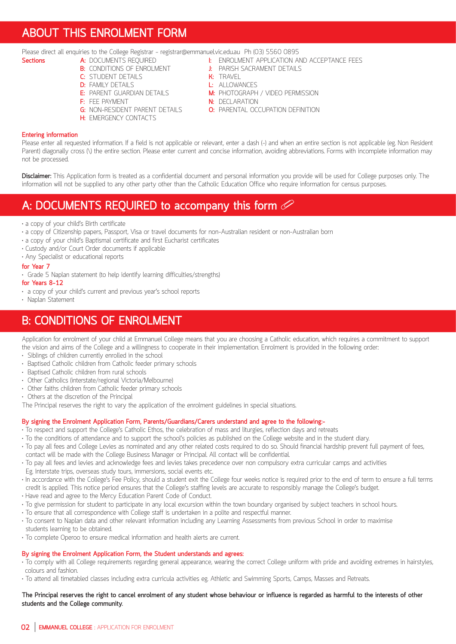### **ABOUT THIS ENROLMENT FORM**

Please direct all enquiries to the College Registrar - registrar@emmanuel.vic.edu.au Ph (03) 5560 0895

- **A:** DOCUMENTS REQUIRED **I:** ENROLMENT APPLICATION AND ACCEPTANCE FEES<br>**B:** CONDITIONS OF ENROLMENT **I:** PARISH SACRAMENT DETAILS
	- **B:** PARISH SACRAMENT DETAILS<br>**K:** TRAVEL
- **C:** STUDENT DETAILS **K:** TRAVEL
- 
- **D:** FAMILY DETAILS<br>**E:** PARENT GUARDIAN DETAILS **E:** PARENT GUARDIAN DETAILS **M:** PHOTOGRAPH / VIDEO PERMISSION
- 
- **F:** FEE PAYMENT<br> **G:** NON-RESIDENT PARENT DETAILS<br> **O:** PARENTAL OC
- **H:** EMERGENCY CONTACTS
- 
- 
- **O:** PARENTAL OCCUPATION DEFINITION
- 

#### **Entering information**

Please enter all requested information. If a field is not applicable or relevant, enter a dash (-) and when an entire section is not applicable (eg. Non Resident Parent) diagonally cross (\) the entire section. Please enter current and concise information, avoiding abbreviations. Forms with incomplete information may not be processed.

**Disclaimer:** This Application form is treated as a confidential document and personal information you provide will be used for College purposes only. The information will not be supplied to any other party other than the Catholic Education Office who require information for census purposes.

### **A: DOCUMENTS REQUIRED to accompany this form**

- a copy of your child's Birth certificate
- a copy of Citizenship papers, Passport, Visa or travel documents for non-Australian resident or non-Australian born
- a copy of your child's Baptismal certificate and first Eucharist certificates
- Custody and/or Court Order documents if applicable
- Any Specialist or educational reports

#### **for Year 7**

• Grade 5 Naplan statement (to help identify learning difficulties/strengths)

**for Years 8-12**

- a copy of your child's current and previous year's school reports
- Naplan Statement

### **B: CONDITIONS OF ENROLMENT**

Application for enrolment of your child at Emmanuel College means that you are choosing a Catholic education, which requires a commitment to support the vision and aims of the College and a willingness to cooperate in their implementation. Enrolment is provided in the following order:

- Siblings of children currently enrolled in the school
- Baptised Catholic children from Catholic feeder primary schools
- Baptised Catholic children from rural schools
- Other Catholics (interstate/regional Victoria/Melbourne)
- Other faiths children from Catholic feeder primary schools
- Others at the discretion of the Principal

The Principal reserves the right to vary the application of the enrolment guidelines in special situations.

#### **By signing the Enrolment Application Form, Parents/Guardians/Carers understand and agree to the following:-**

- To respect and support the College's Catholic Ethos, the celebration of mass and liturgies, reflection days and retreats
- To the conditions of attendance and to support the school's policies as published on the College website and in the student diary.
- To pay all fees and College Levies as nominated and any other related costs required to do so. Should financial hardship prevent full payment of fees,
- contact will be made with the College Business Manager or Principal. All contact will be confidential.
- To pay all fees and levies and acknowledge fees and levies takes precedence over non compulsory extra curricular camps and activities Eg. Interstate trips, overseas study tours, immersions, social events etc.
- In accordance with the College's Fee Policy, should a student exit the College four weeks notice is required prior to the end of term to ensure a full terms credit is applied. This notice period ensures that the College's staffing levels are accurate to responsibly manage the College's budget.
- Have read and agree to the Mercy Education Parent Code of Conduct.
- To give permission for student to participate in any local excursion within the town boundary organised by subject teachers in school hours.
- To ensure that all correspondence with College staff is undertaken in a polite and respectful manner.
- To consent to Naplan data and other relevant information including any Learning Assessments from previous School in order to maximise students learning to be obtained.
- To complete Operoo to ensure medical information and health alerts are current.

#### **By signing the Enrolment Application Form, the Student understands and agrees:**

- To comply with all College requirements regarding general appearance, wearing the correct College uniform with pride and avoiding extremes in hairstyles, colours and fashion.
- To attend all timetabled classes including extra curricula activities eg. Athletic and Swimming Sports, Camps, Masses and Retreats.

#### **The Principal reserves the right to cancel enrolment of any student whose behaviour or influence is regarded as harmful to the interests of other students and the College community.**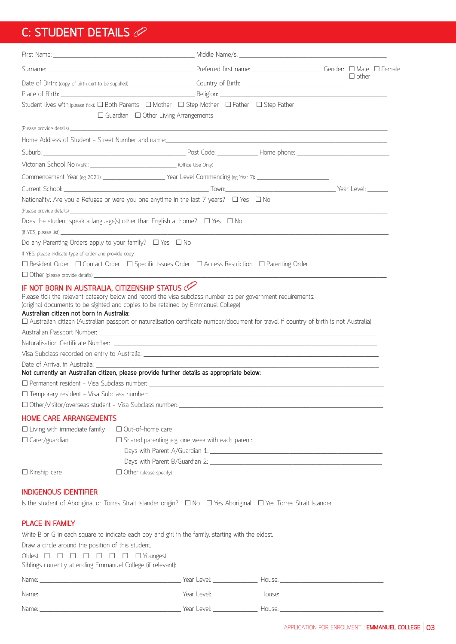## **C: STUDENT DETAILS**

|                                                                                                                                                                                                                                                                           |                                                         |  | $\Box$ other |  |
|---------------------------------------------------------------------------------------------------------------------------------------------------------------------------------------------------------------------------------------------------------------------------|---------------------------------------------------------|--|--------------|--|
|                                                                                                                                                                                                                                                                           |                                                         |  |              |  |
| Student lives with (please tick): $\Box$ Both Parents $\Box$ Mother $\Box$ Step Mother $\Box$ Father $\Box$ Step Father                                                                                                                                                   | $\Box$ Guardian $\Box$ Other Living Arrangements        |  |              |  |
| (Please provide details) <b>Subset of the Contract of the Contract of the Contract of the Contract of the Contract of the Contract of the Contract of the Contract of the Contract of the Contract of the Contract of the Contra</b>                                      |                                                         |  |              |  |
|                                                                                                                                                                                                                                                                           |                                                         |  |              |  |
|                                                                                                                                                                                                                                                                           |                                                         |  |              |  |
|                                                                                                                                                                                                                                                                           |                                                         |  |              |  |
| Commencement Year (eg 2021): Vear Level Commencing (eg Year 7): Vear 1.                                                                                                                                                                                                   |                                                         |  |              |  |
|                                                                                                                                                                                                                                                                           |                                                         |  |              |  |
| Nationality: Are you a Refugee or were you one anytime in the last 7 years? $\Box$ Yes $\Box$ No                                                                                                                                                                          |                                                         |  |              |  |
| (Please provide details) experience and the contract of the contract of the contract of the contract of the contract of the contract of the contract of the contract of the contract of the contract of the contract of the co                                            |                                                         |  |              |  |
| Does the student speak a language(s) other than English at home? $\Box$ Yes $\Box$ No                                                                                                                                                                                     |                                                         |  |              |  |
|                                                                                                                                                                                                                                                                           |                                                         |  |              |  |
| Do any Parenting Orders apply to your family? $\Box$ Yes $\Box$ No                                                                                                                                                                                                        |                                                         |  |              |  |
| If YES, please indicate type of order and provide copy                                                                                                                                                                                                                    |                                                         |  |              |  |
| $\Box$ Resident Order $\Box$ Contact Order $\Box$ Specific Issues Order $\Box$ Access Restriction $\Box$ Parenting Order                                                                                                                                                  |                                                         |  |              |  |
| IF NOT BORN IN AUSTRALIA, CITIZENSHIP STATUS                                                                                                                                                                                                                              |                                                         |  |              |  |
| (original documents to be sighted and copies to be retained by Emmanuel College)<br>Australian citizen not born in Australia:<br>□ Australian citizen (Australian passport or naturalisation certificate number/document for travel if country of birth is not Australia) |                                                         |  |              |  |
|                                                                                                                                                                                                                                                                           |                                                         |  |              |  |
|                                                                                                                                                                                                                                                                           |                                                         |  |              |  |
|                                                                                                                                                                                                                                                                           |                                                         |  |              |  |
| Not currently an Australian citizen, please provide further details as appropriate below:<br>$\Box$ Permanent resident - Visa Subclass number: $\Box$                                                                                                                     |                                                         |  |              |  |
|                                                                                                                                                                                                                                                                           |                                                         |  |              |  |
|                                                                                                                                                                                                                                                                           |                                                         |  |              |  |
| <b>HOME CARE ARRANGEMENTS</b>                                                                                                                                                                                                                                             |                                                         |  |              |  |
| $\Box$ Living with immediate family                                                                                                                                                                                                                                       | □ Out-of-home care                                      |  |              |  |
| $\Box$ Carer/guardian                                                                                                                                                                                                                                                     | $\Box$ Shared parenting e.g. one week with each parent: |  |              |  |
|                                                                                                                                                                                                                                                                           |                                                         |  |              |  |
|                                                                                                                                                                                                                                                                           |                                                         |  |              |  |
| $\Box$ Kinship care                                                                                                                                                                                                                                                       |                                                         |  |              |  |
| <b>INDIGENOUS IDENTIFIER</b>                                                                                                                                                                                                                                              |                                                         |  |              |  |
| Is the student of Aboriginal or Torres Strait Islander origin? $\Box$ No $\Box$ Yes Aboriginal $\Box$ Yes Torres Strait Islander                                                                                                                                          |                                                         |  |              |  |
|                                                                                                                                                                                                                                                                           |                                                         |  |              |  |
| <b>PLACE IN FAMILY</b>                                                                                                                                                                                                                                                    |                                                         |  |              |  |
| Write B or G in each square to indicate each boy and girl in the family, starting with the eldest.                                                                                                                                                                        |                                                         |  |              |  |
| Draw a circle around the position of this student.                                                                                                                                                                                                                        |                                                         |  |              |  |
| Siblings currently attending Emmanuel College (if relevant):                                                                                                                                                                                                              |                                                         |  |              |  |
|                                                                                                                                                                                                                                                                           |                                                         |  |              |  |
|                                                                                                                                                                                                                                                                           |                                                         |  |              |  |
|                                                                                                                                                                                                                                                                           |                                                         |  |              |  |
|                                                                                                                                                                                                                                                                           |                                                         |  |              |  |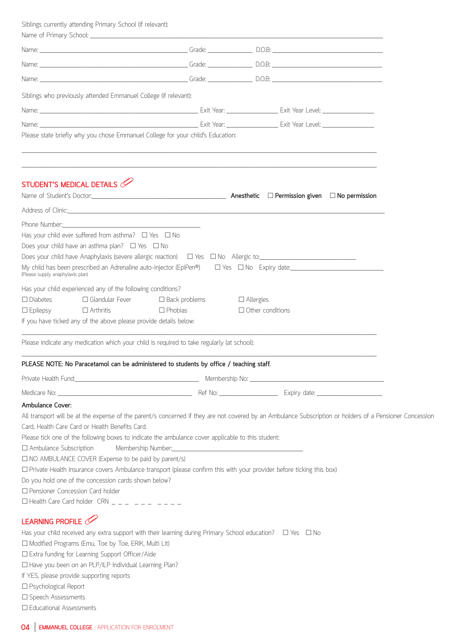Siblings currently attending Primary School (if relevant):

| Siblings who previously attended Emmanuel College (if relevant):                                                                                                                                                                                                                                                                                                                                                                                                                                                                                                                                                                                                    |                |                                             |  |
|---------------------------------------------------------------------------------------------------------------------------------------------------------------------------------------------------------------------------------------------------------------------------------------------------------------------------------------------------------------------------------------------------------------------------------------------------------------------------------------------------------------------------------------------------------------------------------------------------------------------------------------------------------------------|----------------|---------------------------------------------|--|
|                                                                                                                                                                                                                                                                                                                                                                                                                                                                                                                                                                                                                                                                     |                |                                             |  |
|                                                                                                                                                                                                                                                                                                                                                                                                                                                                                                                                                                                                                                                                     |                |                                             |  |
| Please state briefly why you chose Emmanuel College for your child's Education:                                                                                                                                                                                                                                                                                                                                                                                                                                                                                                                                                                                     |                |                                             |  |
|                                                                                                                                                                                                                                                                                                                                                                                                                                                                                                                                                                                                                                                                     |                |                                             |  |
| STUDENT'S MEDICAL DETAILS<br>Name of Student's Doctor: <u>Conserver Conserver Conserver Conserver</u> Anesthetic C Permission given C No permission                                                                                                                                                                                                                                                                                                                                                                                                                                                                                                                 |                |                                             |  |
|                                                                                                                                                                                                                                                                                                                                                                                                                                                                                                                                                                                                                                                                     |                |                                             |  |
| Has your child ever suffered from asthma? $\Box$ Yes $\Box$ No<br>Does your child have an asthma plan? $\Box$ Yes $\Box$ No<br>My child has been prescribed an Adrenaline auto-injector (EpiPen®)<br>$\square$ Yes $\square$ No Expiry date:<br>(Please supply anaphylaxis plan)                                                                                                                                                                                                                                                                                                                                                                                    |                |                                             |  |
| Has your child experienced any of the following conditions?<br>$\Box$ Glandular Fever $\Box$ Back problems<br>$\Box$ Diabetes<br>$\Box$ Arthritis<br>$\Box$ Epilepsy<br>If you have ticked any of the above please provide details below:                                                                                                                                                                                                                                                                                                                                                                                                                           | $\Box$ Phobias | $\Box$ Allergies<br>$\Box$ Other conditions |  |
| Please indicate any medication which your child is required to take regularly (at school):                                                                                                                                                                                                                                                                                                                                                                                                                                                                                                                                                                          |                |                                             |  |
| PLEASE NOTE: No Paracetamol can be administered to students by office / teaching staff.                                                                                                                                                                                                                                                                                                                                                                                                                                                                                                                                                                             |                |                                             |  |
|                                                                                                                                                                                                                                                                                                                                                                                                                                                                                                                                                                                                                                                                     |                |                                             |  |
|                                                                                                                                                                                                                                                                                                                                                                                                                                                                                                                                                                                                                                                                     |                |                                             |  |
| <b>Ambulance Cover:</b><br>All transport will be at the expense of the parent/s concerned if they are not covered by an Ambulance Subscription or holders of a Pensioner Concession<br>Card, Health Care Card or Health Benefits Card.<br>Please tick one of the following boxes to indicate the ambulance cover applicable to this student:<br>$\Box$ Ambulance Subscription<br>$\Box$ NO AMBULANCE COVER (Expense to be paid by parent/s)<br>□ Private Health Insurance covers Ambulance transport (please confirm this with your provider before ticking this box)<br>Do you hold one of the concession cards shown below?<br>□ Pensioner Concession Card holder |                |                                             |  |
|                                                                                                                                                                                                                                                                                                                                                                                                                                                                                                                                                                                                                                                                     |                |                                             |  |
| LEARNING PROFILE<br>Has your child received any extra support with their learning during Primary School education? $\Box$ Yes $\Box$ No<br>□ Modified Programs (Emu, Toe by Toe, ERIK, Multi Lit)<br>□ Extra funding for Learning Support Officer/Aide<br>□ Have you been on an PLP/ILP Individual Learning Plan?<br>If YES, please provide supporting reports<br>□ Psychological Report<br>□ Speech Assessments                                                                                                                                                                                                                                                    |                |                                             |  |
| □ Educational Assessments                                                                                                                                                                                                                                                                                                                                                                                                                                                                                                                                                                                                                                           |                |                                             |  |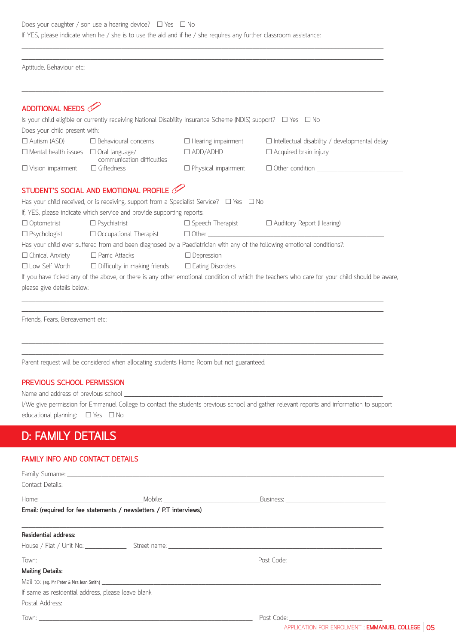Does your daughter / son use a hearing device?  $\Box$  Yes  $\Box$  No If YES, please indicate when he / she is to use the aid and if he / she requires any further classroom assistance:

\_\_\_\_\_\_\_\_\_\_\_\_\_\_\_\_\_\_\_\_\_\_\_\_\_\_\_\_\_\_\_\_\_\_\_\_\_\_\_\_\_\_\_\_\_\_\_\_\_\_\_\_\_\_\_\_\_\_\_\_\_\_\_\_\_\_\_\_\_\_\_\_\_\_\_\_\_\_\_\_\_\_\_\_\_\_\_\_\_\_\_\_\_\_\_\_\_\_\_\_\_\_\_\_\_ \_\_\_\_\_\_\_\_\_\_\_\_\_\_\_\_\_\_\_\_\_\_\_\_\_\_\_\_\_\_\_\_\_\_\_\_\_\_\_\_\_\_\_\_\_\_\_\_\_\_\_\_\_\_\_\_\_\_\_\_\_\_\_\_\_\_\_\_\_\_\_\_\_\_\_\_\_\_\_\_\_\_\_\_\_\_\_\_\_\_\_\_\_\_\_\_\_\_\_\_\_\_\_\_\_

Aptitude, Behaviour etc:

|                                                   | ADDITIONAL NEEDS                                                                                                                                                                                                                                                                                                                                          |                           |                                                          |
|---------------------------------------------------|-----------------------------------------------------------------------------------------------------------------------------------------------------------------------------------------------------------------------------------------------------------------------------------------------------------------------------------------------------------|---------------------------|----------------------------------------------------------|
|                                                   | Is your child eligible or currently receiving National Disability Insurance Scheme (NDIS) support? $\Box$ Yes $\Box$ No                                                                                                                                                                                                                                   |                           |                                                          |
| Does your child present with:                     |                                                                                                                                                                                                                                                                                                                                                           |                           |                                                          |
|                                                   | $\Box$ Autism (ASD) $\Box$ Behavioural concerns                                                                                                                                                                                                                                                                                                           | $\Box$ Hearing impairment | $\Box$ Intellectual disability / developmental delay     |
| $\Box$ Mental health issues $\Box$ Oral language/ | communication difficulties                                                                                                                                                                                                                                                                                                                                | $\Box$ ADD/ADHD           | $\Box$ Acquired brain injury                             |
| $\Box$ Vision impairment $\Box$ Giftedness        |                                                                                                                                                                                                                                                                                                                                                           |                           | $\Box$ Physical impairment $\Box$ Other condition $\Box$ |
| $\Box$ Optometrist $\Box$ Psychiatrist            | If, YES, please indicate which service and provide supporting reports:                                                                                                                                                                                                                                                                                    |                           |                                                          |
|                                                   |                                                                                                                                                                                                                                                                                                                                                           |                           | $\Box$ Speech Therapist $\Box$ Auditory Report (Hearing) |
|                                                   | □ Psychologist □ Occupational Therapist □ Other □ National Theory Development Distributional Other National Other Distributional Other National Other Distributional Other Distribution Other Distribution Other Distribution<br>Has your child ever suffered from and been diagnosed by a Paediatrician with any of the following emotional conditions?: |                           |                                                          |
| $\Box$ Clinical Anxiety $\Box$ Panic Attacks      |                                                                                                                                                                                                                                                                                                                                                           | $\Box$ Depression         |                                                          |
|                                                   | $\Box$ Low Self Worth $\Box$ Difficulty in making friends $\Box$ Eating Disorders                                                                                                                                                                                                                                                                         |                           |                                                          |
|                                                   |                                                                                                                                                                                                                                                                                                                                                           |                           |                                                          |
|                                                   | If you have ticked any of the above, or there is any other emotional condition of which the teachers who care for your child should be aware,                                                                                                                                                                                                             |                           |                                                          |

Friends, Fears, Bereavement etc:

Parent request will be considered when allocating students Home Room but not guaranteed.

#### **PREVIOUS SCHOOL PERMISSION**

Name and address of previous school \_

I/We give permission for Emmanuel College to contact the students previous school and gather relevant reports and information to support educational planning:  $\square$  Yes  $\square$  No

\_\_\_\_\_\_\_\_\_\_\_\_\_\_\_\_\_\_\_\_\_\_\_\_\_\_\_\_\_\_\_\_\_\_\_\_\_\_\_\_\_\_\_\_\_\_\_\_\_\_\_\_\_\_\_\_\_\_\_\_\_\_\_\_\_\_\_\_\_\_\_\_\_\_\_\_\_\_\_\_\_\_\_\_\_\_\_\_\_\_\_\_\_\_\_\_\_\_\_\_\_\_\_\_\_  $\_$  , and the set of the set of the set of the set of the set of the set of the set of the set of the set of the set of the set of the set of the set of the set of the set of the set of the set of the set of the set of th \_\_\_\_\_\_\_\_\_\_\_\_\_\_\_\_\_\_\_\_\_\_\_\_\_\_\_\_\_\_\_\_\_\_\_\_\_\_\_\_\_\_\_\_\_\_\_\_\_\_\_\_\_\_\_\_\_\_\_\_\_\_\_\_\_\_\_\_\_\_\_\_\_\_\_\_\_\_\_\_\_\_\_\_\_\_\_\_\_\_\_\_\_\_\_\_\_\_\_\_\_\_\_\_\_

### **D: FAMILY DETAILS**

### **FAMILY INFO AND CONTACT DETAILS**

|                                                    | Family Surname: <u>Communications and the communications</u> and the communications of the communications of the communications of the communications of the communications of the communications of the communications of the comm |  |
|----------------------------------------------------|-------------------------------------------------------------------------------------------------------------------------------------------------------------------------------------------------------------------------------------|--|
| Contact Details:                                   |                                                                                                                                                                                                                                     |  |
|                                                    |                                                                                                                                                                                                                                     |  |
|                                                    | Email: (required for fee statements / newsletters / P.T interviews)                                                                                                                                                                 |  |
| <b>Residential address:</b>                        |                                                                                                                                                                                                                                     |  |
|                                                    |                                                                                                                                                                                                                                     |  |
|                                                    |                                                                                                                                                                                                                                     |  |
| <b>Mailing Details:</b>                            |                                                                                                                                                                                                                                     |  |
|                                                    |                                                                                                                                                                                                                                     |  |
| If same as residential address, please leave blank |                                                                                                                                                                                                                                     |  |
|                                                    | Postal Address: The Contract of the Contract of the Contract of the Contract of the Contract of the Contract of the Contract of the Contract of the Contract of the Contract of the Contract of the Contract of the Contract o      |  |
|                                                    |                                                                                                                                                                                                                                     |  |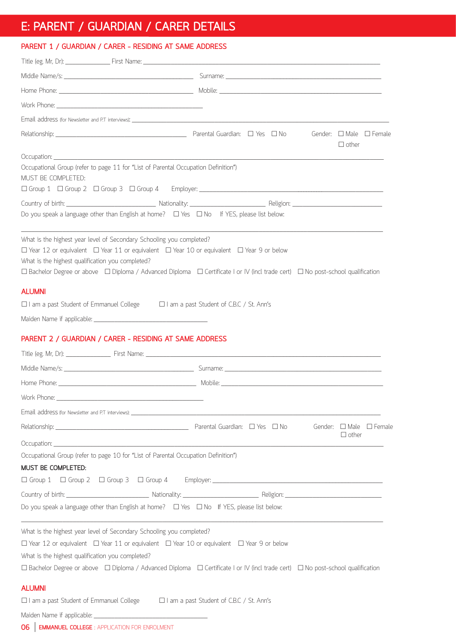### **E: PARENT / GUARDIAN / CARER DETAILS**

### **PARENT 1 / GUARDIAN / CARER - RESIDING AT SAME ADDRESS**

|                                                                                                          | Gender: $\Box$ Male $\Box$ Female<br>$\Box$ other                                                                                                                                                                                                                  |
|----------------------------------------------------------------------------------------------------------|--------------------------------------------------------------------------------------------------------------------------------------------------------------------------------------------------------------------------------------------------------------------|
|                                                                                                          |                                                                                                                                                                                                                                                                    |
| Occupational Group (refer to page 11 for "List of Parental Occupation Definition")<br>MUST BE COMPLETED: |                                                                                                                                                                                                                                                                    |
|                                                                                                          |                                                                                                                                                                                                                                                                    |
|                                                                                                          |                                                                                                                                                                                                                                                                    |
|                                                                                                          | Do you speak a language other than English at home? $\Box$ Yes $\Box$ No If YES, please list below:                                                                                                                                                                |
| What is the highest year level of Secondary Schooling you completed?                                     |                                                                                                                                                                                                                                                                    |
|                                                                                                          | $\Box$ Year 12 or equivalent $\Box$ Year 11 or equivalent $\Box$ Year 10 or equivalent $\Box$ Year 9 or below                                                                                                                                                      |
| What is the highest qualification you completed?                                                         | $\Box$ Bachelor Degree or above $\Box$ Diploma / Advanced Diploma $\Box$ Certificate I or IV (incl trade cert) $\Box$ No post-school qualification                                                                                                                 |
|                                                                                                          |                                                                                                                                                                                                                                                                    |
| <b>ALUMNI</b>                                                                                            |                                                                                                                                                                                                                                                                    |
| $\Box$ I am a past Student of Emmanuel College $\Box$ I am a past Student of C.B.C / St. Ann's           |                                                                                                                                                                                                                                                                    |
|                                                                                                          |                                                                                                                                                                                                                                                                    |
| PARENT 2 / GUARDIAN / CARER - RESIDING AT SAME ADDRESS                                                   |                                                                                                                                                                                                                                                                    |
|                                                                                                          |                                                                                                                                                                                                                                                                    |
|                                                                                                          |                                                                                                                                                                                                                                                                    |
|                                                                                                          |                                                                                                                                                                                                                                                                    |
| Work Phone:                                                                                              |                                                                                                                                                                                                                                                                    |
|                                                                                                          |                                                                                                                                                                                                                                                                    |
|                                                                                                          | Relationship: 2008 - 2009 - 2009 - 2009 - 2009 - 2009 - 2009 - 2010 - 2010 - 2010 - 2010 - 2010 - 2010 - 2010 - 2010 - 2010 - 2010 - 2010 - 2010 - 2010 - 2010 - 2010 - 2010 - 2010 - 2010 - 2010 - 2010 - 2010 - 2010 - 2010<br>Gender: $\Box$ Male $\Box$ Female |
|                                                                                                          | $\Box$ other                                                                                                                                                                                                                                                       |
| Occupational Group (refer to page 10 for "List of Parental Occupation Definition")                       |                                                                                                                                                                                                                                                                    |
| MUST BE COMPLETED:                                                                                       |                                                                                                                                                                                                                                                                    |
|                                                                                                          |                                                                                                                                                                                                                                                                    |
|                                                                                                          |                                                                                                                                                                                                                                                                    |
| Do you speak a language other than English at home? $\Box$ Yes $\Box$ No If YES, please list below:      |                                                                                                                                                                                                                                                                    |
| What is the highest year level of Secondary Schooling you completed?                                     |                                                                                                                                                                                                                                                                    |
|                                                                                                          | $\Box$ Year 12 or equivalent $\Box$ Year 11 or equivalent $\Box$ Year 10 or equivalent $\Box$ Year 9 or below                                                                                                                                                      |
| What is the highest qualification you completed?                                                         |                                                                                                                                                                                                                                                                    |
|                                                                                                          | $\Box$ Bachelor Degree or above $\Box$ Diploma / Advanced Diploma $\Box$ Certificate I or IV (incl trade cert) $\Box$ No post-school qualification                                                                                                                 |
| <b>ALUMNI</b>                                                                                            |                                                                                                                                                                                                                                                                    |
| □ I am a past Student of Emmanuel College                                                                | □ I am a past Student of C.B.C / St. Ann's                                                                                                                                                                                                                         |
|                                                                                                          |                                                                                                                                                                                                                                                                    |
|                                                                                                          |                                                                                                                                                                                                                                                                    |

**06 EMMANUEL COLLEGE** : APPLICATION FOR ENROLMENT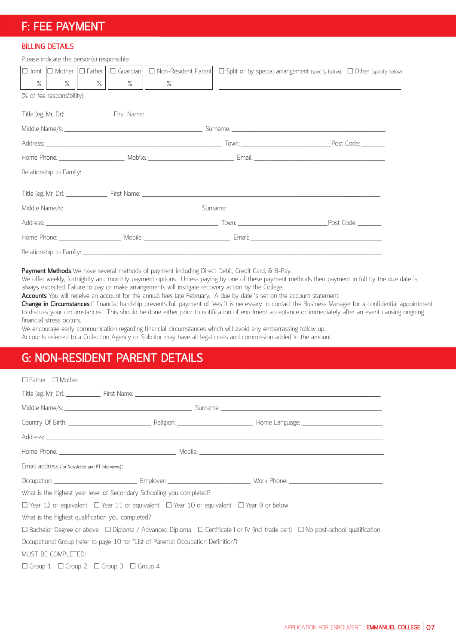### **F: FEE PAYMENT**

### **BILLING DETAILS**

Please indicate the person(s) responsible.

|                           |  | $ \Box$ Joint $ \Box$ Mother $  \Box$ Father $  \Box$ Guardian $  \Box$ Non-Resident Parent $ \Box$ Split or by special arrangement (specify below) $\Box$ Other (specify below) |  |  |  |  |
|---------------------------|--|----------------------------------------------------------------------------------------------------------------------------------------------------------------------------------|--|--|--|--|
|                           |  | <u> 1989 - Johann Harry Harry Harry Harry Harry Harry Harry Harry Harry Harry Harry Harry Harry Harry Harry Harry</u>                                                            |  |  |  |  |
| (% of fee responsibility) |  |                                                                                                                                                                                  |  |  |  |  |
|                           |  |                                                                                                                                                                                  |  |  |  |  |
|                           |  |                                                                                                                                                                                  |  |  |  |  |
|                           |  |                                                                                                                                                                                  |  |  |  |  |
|                           |  |                                                                                                                                                                                  |  |  |  |  |
|                           |  |                                                                                                                                                                                  |  |  |  |  |
|                           |  |                                                                                                                                                                                  |  |  |  |  |
|                           |  |                                                                                                                                                                                  |  |  |  |  |
|                           |  |                                                                                                                                                                                  |  |  |  |  |
|                           |  |                                                                                                                                                                                  |  |  |  |  |
|                           |  |                                                                                                                                                                                  |  |  |  |  |

**Payment Methods** We have several methods of payment including Direct Debit, Credit Card, & B-Pay.

We offer weekly, fortnightly and monthly payment options. Unless paying by one of these payment methods then payment in full by the due date is always expected. Failure to pay or make arrangements will instigate recovery action by the College.

**Accounts** You will receive an account for the annual fees late February. A due by date is set on the account statement.

**Change in Circumstances** If financial hardship prevents full payment of fees it is necessary to contact the Business Manager for a confidential appointment to discuss your circumstances. This should be done either prior to notification of enrolment acceptance or immediately after an event causing ongoing financial stress occurs.

We encourage early communication regarding financial circumstances which will avoid any embarrassing follow up. Accounts referred to a Collection Agency or Solicitor may have all legal costs and commission added to the amount.

### **G: NON-RESIDENT PARENT DETAILS**

| $\Box$ Father $\Box$ Mother                      |                                                                                                               |                                                                                                                                                    |  |
|--------------------------------------------------|---------------------------------------------------------------------------------------------------------------|----------------------------------------------------------------------------------------------------------------------------------------------------|--|
|                                                  |                                                                                                               |                                                                                                                                                    |  |
|                                                  |                                                                                                               |                                                                                                                                                    |  |
|                                                  |                                                                                                               |                                                                                                                                                    |  |
|                                                  |                                                                                                               |                                                                                                                                                    |  |
|                                                  |                                                                                                               |                                                                                                                                                    |  |
|                                                  |                                                                                                               |                                                                                                                                                    |  |
|                                                  |                                                                                                               |                                                                                                                                                    |  |
|                                                  | What is the highest year level of Secondary Schooling you completed?                                          |                                                                                                                                                    |  |
|                                                  | $\Box$ Year 12 or equivalent $\Box$ Year 11 or equivalent $\Box$ Year 10 or equivalent $\Box$ Year 9 or below |                                                                                                                                                    |  |
| What is the highest qualification you completed? |                                                                                                               |                                                                                                                                                    |  |
|                                                  |                                                                                                               | $\Box$ Bachelor Degree or above $\Box$ Diploma / Advanced Diploma $\Box$ Certificate I or IV (incl trade cert) $\Box$ No post-school qualification |  |
|                                                  | Occupational Group (refer to page 10 for "List of Parental Occupation Definition")                            |                                                                                                                                                    |  |
| MUST BE COMPLETED:                               |                                                                                                               |                                                                                                                                                    |  |
|                                                  | $\Box$ Group 1 $\Box$ Group 2 $\Box$ Group 3 $\Box$ Group 4                                                   |                                                                                                                                                    |  |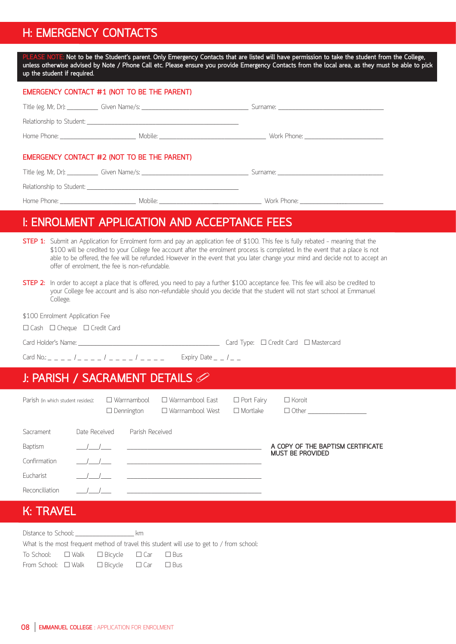### **H: EMERGENCY CONTACTS**

Not to be the Student's parent. Only Emergency Contacts that are listed will have permission to take the student from the College, **unless otherwise advised by Note / Phone Call etc. Please ensure you provide Emergency Contacts from the local area, as they must be able to pick up the student if required.**

| EMERGENCY CONTACT #1 (NOT TO BE THE PARENT) |  |
|---------------------------------------------|--|
|                                             |  |
|                                             |  |
|                                             |  |
| EMERGENCY CONTACT #2 (NOT TO BE THE PARENT) |  |
|                                             |  |
|                                             |  |
|                                             |  |

### **I: ENROLMENT APPLICATION AND ACCEPTANCE FEES**

- **STEP 1:** Submit an Application for Enrolment form and pay an application fee of \$100. This fee is fully rebated meaning that the \$100 will be credited to your College fee account after the enrolment process is completed. In the event that a place is not able to be offered, the fee will be refunded. However in the event that you later change your mind and decide not to accept an offer of enrolment, the fee is non-refundable.
- **STEP 2:** In order to accept a place that is offered, you need to pay a further \$100 acceptance fee. This fee will also be credited to your College fee account and is also non-refundable should you decide that the student will not start school at Emmanuel College.

\$100 Enrolment Application Fee

□ Cash □ Cheque □ Credit Card

| Card Holder's Name: |  |
|---------------------|--|
|---------------------|--|

Card Type:  $\Box$  Credit Card  $\Box$  Mastercard

Card No.: \_ \_ \_ \_ / \_ \_ \_ \_ / \_ \_ \_ \_ / \_ \_ \_ \_ Expiry Date \_ \_ / \_ \_

### **J: PARISH / SACRAMENT DETAILS**

| Parish (in which student resides): |                                                               | $\Box$ Dennington | $\Box$ Warrnambool | □ Warrnambool East<br>$\Box$ Warrnambool West | $\Box$ Port Fairy<br>$\Box$ Mortlake | $\Box$ Koroit                     |
|------------------------------------|---------------------------------------------------------------|-------------------|--------------------|-----------------------------------------------|--------------------------------------|-----------------------------------|
| Sacrament                          | Date Received                                                 |                   | Parish Received    |                                               |                                      |                                   |
| Baptism                            | $\left( \begin{array}{cc} 1 & 1 \\ 1 & 1 \end{array} \right)$ |                   |                    |                                               |                                      | A COPY OF THE BAPTISM CERTIFICATE |
| Confirmation                       |                                                               |                   |                    |                                               |                                      | <b>MUST BE PROVIDED</b>           |
| Eucharist                          | $\overline{\phantom{a}}$                                      |                   |                    |                                               |                                      |                                   |
| Reconciliation                     |                                                               |                   |                    |                                               |                                      |                                   |

### **K: TRAVEL**

| Distance to School: by the km                                 |  |                                                                                           |
|---------------------------------------------------------------|--|-------------------------------------------------------------------------------------------|
|                                                               |  | What is the most frequent method of travel this student will use to get to / from school: |
| To School: $\Box$ Walk $\Box$ Bicycle $\Box$ Car $\Box$ Bus   |  |                                                                                           |
| From School: $\Box$ Walk $\Box$ Bicycle $\Box$ Car $\Box$ Bus |  |                                                                                           |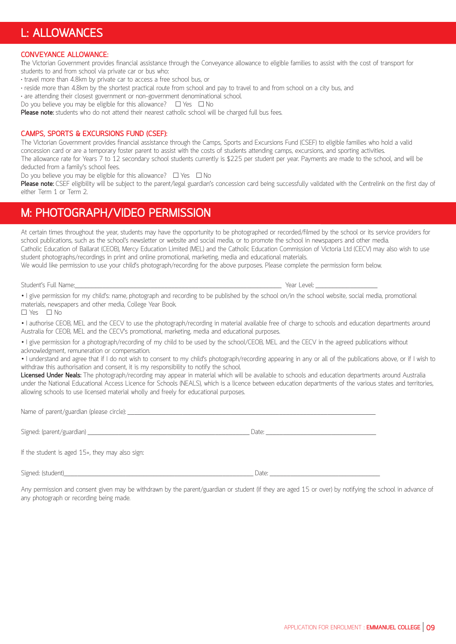### **L: ALLOWANCES**

#### **CONVEYANCE ALLOWANCE:**

The Victorian Government provides financial assistance through the Conveyance allowance to eligible families to assist with the cost of transport for students to and from school via private car or bus who:

- travel more than 4.8km by private car to access a free school bus, or
- reside more than 4.8km by the shortest practical route from school and pay to travel to and from school on a city bus, and

• are attending their closest government or non-government denominational school.

Do you believe you may be eligible for this allowance?  $\square$  Yes  $\square$  No

Please note: students who do not attend their nearest catholic school will be charged full bus fees.

#### **CAMPS, SPORTS & EXCURSIONS FUND (CSEF):**

The Victorian Government provides financial assistance through the Camps, Sports and Excursions Fund (CSEF) to eligible families who hold a valid concession card or are a temporary foster parent to assist with the costs of students attending camps, excursions, and sporting activities. The allowance rate for Years 7 to 12 secondary school students currently is \$225 per student per year. Payments are made to the school, and will be deducted from a family's school fees.

Do you believe you may be eligible for this allowance?  $\square$  Yes  $\square$  No

**Please note:** CSEF eligibility will be subject to the parent/legal guardian's concession card being successfully validated with the Centrelink on the first day of either Term 1 or Term 2.

### **M: PHOTOGRAPH/VIDEO PERMISSION**

At certain times throughout the year, students may have the opportunity to be photographed or recorded/filmed by the school or its service providers for school publications, such as the school's newsletter or website and social media, or to promote the school in newspapers and other media. Catholic Education of Ballarat (CEOB), Mercy Education Limited (MEL) and the Catholic Education Commission of Victoria Ltd (CECV) may also wish to use student photographs/recordings in print and online promotional, marketing, media and educational materials.

We would like permission to use your child's photograph/recording for the above purposes. Please complete the permission form below.

Year Level:

• I give permission for my child's: name, photograph and recording to be published by the school on/in the school website, social media, promotional materials, newspapers and other media, College Year Book.

 $\Box$  Yes  $\Box$  No

• I authorise CEOB, MEL and the CECV to use the photograph/recording in material available free of charge to schools and education departments around Australia for CEOB, MEL and the CECV's promotional, marketing, media and educational purposes.

• I give permission for a photograph/recording of my child to be used by the school/CEOB, MEL and the CECV in the agreed publications without acknowledgment, remuneration or compensation.

• I understand and agree that if I do not wish to consent to my child's photograph/recording appearing in any or all of the publications above, or if I wish to withdraw this authorisation and consent, it is my responsibility to notify the school.

**Licensed Under Neals:** The photograph/recording may appear in material which will be available to schools and education departments around Australia under the National Educational Access Licence for Schools (NEALS), which is a licence between education departments of the various states and territories, allowing schools to use licensed material wholly and freely for educational purposes.

Name of parent/guardian (please circle): \_\_\_\_\_\_\_\_\_\_\_\_\_\_\_\_\_\_\_\_\_\_\_\_\_\_\_\_\_\_\_\_\_\_\_\_\_\_\_\_\_\_\_\_\_\_\_\_\_\_\_\_\_\_\_\_\_\_\_\_\_\_\_\_\_\_\_\_\_\_\_\_

Signed: (parent/guardian) \_\_\_\_\_\_\_\_\_\_\_\_\_\_\_\_\_\_\_\_\_\_\_\_\_\_\_\_\_\_\_\_\_\_\_\_\_\_\_\_\_\_\_\_\_\_\_ Date: \_\_\_\_\_\_\_\_\_\_\_\_\_\_\_\_\_\_\_\_\_\_\_\_\_\_\_\_\_\_\_\_

If the student is aged 15+, they may also sign:

Signed: (student)\_\_\_\_\_\_\_\_\_\_\_\_\_\_\_\_\_\_\_\_\_\_\_\_\_\_\_\_\_\_\_\_\_\_\_\_\_\_\_\_\_\_\_\_\_\_\_\_\_\_\_\_\_\_\_ Date: \_\_\_\_\_\_\_\_\_\_\_\_\_\_\_\_\_\_\_\_\_\_\_\_\_\_\_\_\_\_\_\_

Any permission and consent given may be withdrawn by the parent/guardian or student (if they are aged 15 or over) by notifying the school in advance of any photograph or recording being made.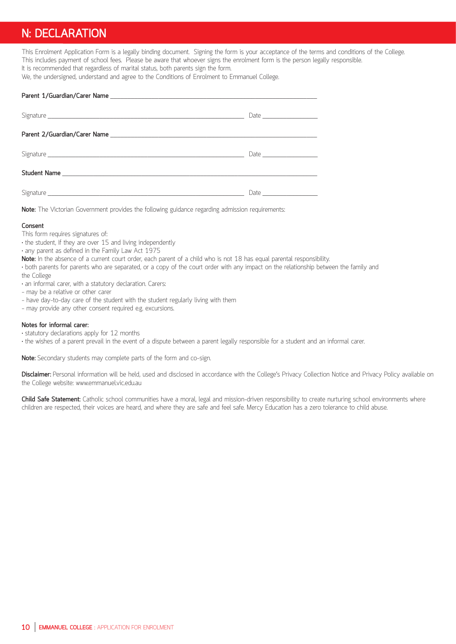### **N: DECLARATION**

This Enrolment Application Form is a legally binding document. Signing the form is your acceptance of the terms and conditions of the College. This includes payment of school fees. Please be aware that whoever signs the enrolment form is the person legally responsible. It is recommended that regardless of marital status, both parents sign the form.

We, the undersigned, understand and agree to the Conditions of Enrolment to Emmanuel College.

**Note:** The Victorian Government provides the following guidance regarding admission requirements:

#### **Consent**

This form requires signatures of:

- the student, if they are over 15 and living independently
- any parent as defined in the Family Law Act 1975
- **Note:** In the absence of a current court order, each parent of a child who is not 18 has equal parental responsibility.

• both parents for parents who are separated, or a copy of the court order with any impact on the relationship between the family and the College

- an informal carer, with a statutory declaration. Carers:
- may be a relative or other carer
- have day-to-day care of the student with the student regularly living with them
- may provide any other consent required e.g. excursions.

#### **Notes for informal carer:**

- statutory declarations apply for 12 months
- the wishes of a parent prevail in the event of a dispute between a parent legally responsible for a student and an informal carer.

**Note:** Secondary students may complete parts of the form and co-sign.

**Disclaimer:** Personal information will be held, used and disclosed in accordance with the College's Privacy Collection Notice and Privacy Policy available on the College website: www.emmanuel.vic.edu.au

**Child Safe Statement:** Catholic school communities have a moral, legal and mission-driven responsibility to create nurturing school environments where children are respected, their voices are heard, and where they are safe and feel safe. Mercy Education has a zero tolerance to child abuse.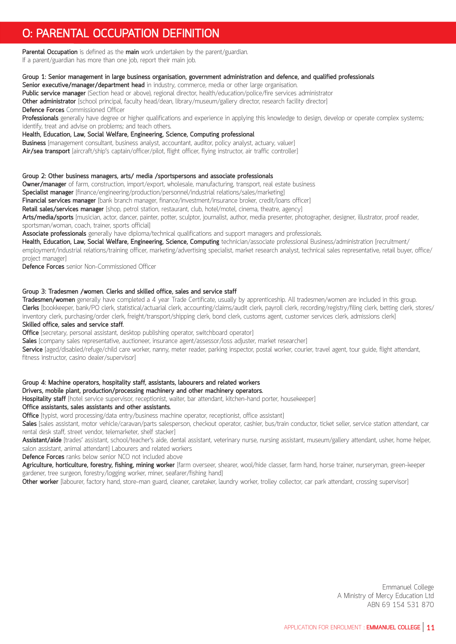### **O: PARENTAL OCCUPATION DEFINITION**

**Parental Occupation** is defined as the **main** work undertaken by the parent/guardian. If a parent/guardian has more than one job, report their main job.

#### **Group 1: Senior management in large business organisation, government administration and defence, and qualified professionals**

Senior executive/manager/department head in industry, commerce, media or other large organisation.

**Public service manager** (Section head or above), regional director, health/education/police/fire services administrator **Other administrator** [school principal, faculty head/dean, library/museum/gallery director, research facility director] **Defence Forces** Commissioned Officer

**Professionals** generally have degree or higher qualifications and experience in applying this knowledge to design, develop or operate complex systems; identify, treat and advise on problems; and teach others.

**Health, Education, Law, Social Welfare, Engineering, Science, Computing professional**

**Business** [management consultant, business analyst, accountant, auditor, policy analyst, actuary, valuer]

**Air/sea transport** [aircraft/ship's captain/officer/pilot, flight officer, flying instructor, air traffic controller]

#### **Group 2: Other business managers, arts/ media /sportspersons and associate professionals**

**Owner/manager** of farm, construction, import/export, wholesale, manufacturing, transport, real estate business

**Specialist manager** [finance/engineering/production/personnel/industrial relations/sales/marketing]

**Financial services manager** [bank branch manager, finance/investment/insurance broker, credit/loans officer]

**Retail sales/services manager** [shop, petrol station, restaurant, club, hotel/motel, cinema, theatre, agency]

**Arts/media/sports** [musician, actor, dancer, painter, potter, sculptor, journalist, author, media presenter, photographer, designer, illustrator, proof reader, sportsman/woman, coach, trainer, sports official]

**Associate professionals** generally have diploma/technical qualifications and support managers and professionals.

**Health, Education, Law, Social Welfare, Engineering, Science, Computing** technician/associate professional Business/administration [recruitment/ employment/industrial relations/training officer, marketing/advertising specialist, market research analyst, technical sales representative, retail buyer, office/ project manager]

**Defence Forces** senior Non-Commissioned Officer

#### **Group 3: Tradesmen /women. Clerks and skilled office, sales and service staff**

**Tradesmen/women** generally have completed a 4 year Trade Certificate, usually by apprenticeship. All tradesmen/women are included in this group. **Clerks** [bookkeeper, bank/PO clerk, statistical/actuarial clerk, accounting/claims/audit clerk, payroll clerk, recording/registry/filing clerk, betting clerk, stores/ inventory clerk, purchasing/order clerk, freight/transport/shipping clerk, bond clerk, customs agent, customer services clerk, admissions clerk] **Skilled office, sales and service staff.**

**Office** [secretary, personal assistant, desktop publishing operator, switchboard operator]

Sales [company sales representative, auctioneer, insurance agent/assessor/loss adjuster, market researcher]

**Service** [aged/disabled/refuge/child care worker, nanny, meter reader, parking inspector, postal worker, courier, travel agent, tour guide, flight attendant, fitness instructor, casino dealer/supervisor]

### **Group 4: Machine operators, hospitality staff, assistants, labourers and related workers**

#### **Drivers, mobile plant, production/processing machinery and other machinery operators.**

**Hospitality staff** [hotel service supervisor, receptionist, waiter, bar attendant, kitchen-hand porter, housekeeper]

#### **Office assistants, sales assistants and other assistants.**

**Office** [typist, word processing/data entry/business machine operator, receptionist, office assistant]

Sales [sales assistant, motor vehicle/caravan/parts salesperson, checkout operator, cashier, bus/train conductor, ticket seller, service station attendant, car rental desk staff, street vendor, telemarketer, shelf stacker]

**Assistant/aide** [trades' assistant, school/teacher's aide, dental assistant, veterinary nurse, nursing assistant, museum/gallery attendant, usher, home helper, salon assistant, animal attendant] Labourers and related workers

**Defence Forces** ranks below senior NCO not included above

**Agriculture, horticulture, forestry, fishing, mining worker** [farm overseer, shearer, wool/hide classer, farm hand, horse trainer, nurseryman, green-keeper gardener, tree surgeon, forestry/logging worker, miner, seafarer/fishing hand]

**Other worker** [labourer, factory hand, store-man guard, cleaner, caretaker, laundry worker, trolley collector, car park attendant, crossing supervisor]

Emmanuel College A Ministry of Mercy Education Ltd ABN 69 154 531 870